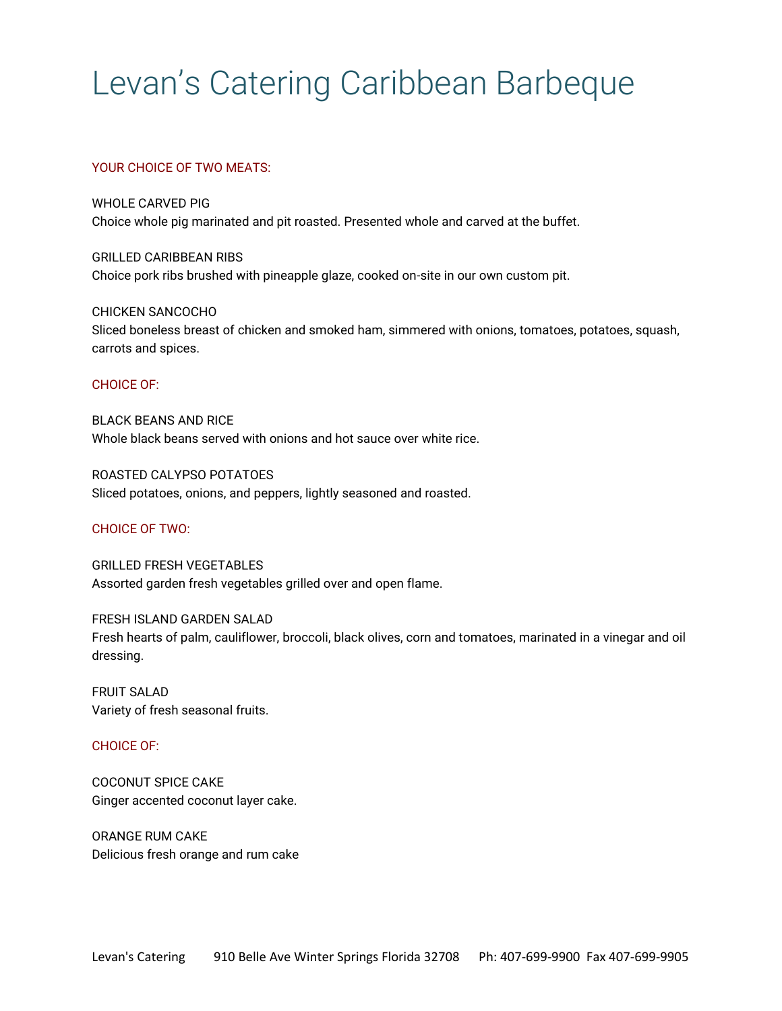# Levan's Catering Caribbean Barbeque

## YOUR CHOICE OF TWO MEATS:

WHOLE CARVED PIG Choice whole pig marinated and pit roasted. Presented whole and carved at the buffet.

GRILLED CARIBBEAN RIBS Choice pork ribs brushed with pineapple glaze, cooked on-site in our own custom pit.

CHICKEN SANCOCHO Sliced boneless breast of chicken and smoked ham, simmered with onions, tomatoes, potatoes, squash, carrots and spices.

#### CHOICE OF:

BLACK BEANS AND RICE Whole black beans served with onions and hot sauce over white rice.

ROASTED CALYPSO POTATOES Sliced potatoes, onions, and peppers, lightly seasoned and roasted.

## CHOICE OF TWO:

GRILLED FRESH VEGETABLES Assorted garden fresh vegetables grilled over and open flame.

FRESH ISLAND GARDEN SALAD Fresh hearts of palm, cauliflower, broccoli, black olives, corn and tomatoes, marinated in a vinegar and oil dressing.

FRUIT SALAD Variety of fresh seasonal fruits.

## CHOICE OF:

COCONUT SPICE CAKE Ginger accented coconut layer cake.

ORANGE RUM CAKE Delicious fresh orange and rum cake